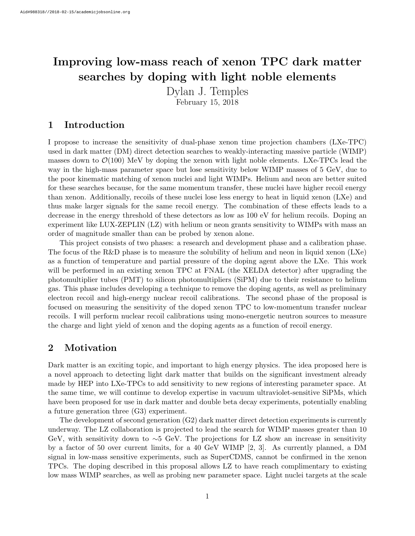# Improving low-mass reach of xenon TPC dark matter searches by doping with light noble elements

Dylan J. Temples

February 15, 2018

## 1 Introduction

I propose to increase the sensitivity of dual-phase xenon time projection chambers (LXe-TPC) used in dark matter (DM) direct detection searches to weakly-interacting massive particle (WIMP) masses down to  $\mathcal{O}(100)$  MeV by doping the xenon with light noble elements. LXe-TPCs lead the way in the high-mass parameter space but lose sensitivity below WIMP masses of 5 GeV, due to the poor kinematic matching of xenon nuclei and light WIMPs. Helium and neon are better suited for these searches because, for the same momentum transfer, these nuclei have higher recoil energy than xenon. Additionally, recoils of these nuclei lose less energy to heat in liquid xenon (LXe) and thus make larger signals for the same recoil energy. The combination of these effects leads to a decrease in the energy threshold of these detectors as low as 100 eV for helium recoils. Doping an experiment like LUX-ZEPLIN (LZ) with helium or neon grants sensitivity to WIMPs with mass an order of magnitude smaller than can be probed by xenon alone.

This project consists of two phases: a research and development phase and a calibration phase. The focus of the R&D phase is to measure the solubility of helium and neon in liquid xenon (LXe) as a function of temperature and partial pressure of the doping agent above the LXe. This work will be performed in an existing xenon TPC at FNAL (the XELDA detector) after upgrading the photomultiplier tubes (PMT) to silicon photomultipliers (SiPM) due to their resistance to helium gas. This phase includes developing a technique to remove the doping agents, as well as preliminary electron recoil and high-energy nuclear recoil calibrations. The second phase of the proposal is focused on measuring the sensitivity of the doped xenon TPC to low-momentum transfer nuclear recoils. I will perform nuclear recoil calibrations using mono-energetic neutron sources to measure the charge and light yield of xenon and the doping agents as a function of recoil energy.

# 2 Motivation

Dark matter is an exciting topic, and important to high energy physics. The idea proposed here is a novel approach to detecting light dark matter that builds on the significant investment already made by HEP into LXe-TPCs to add sensitivity to new regions of interesting parameter space. At the same time, we will continue to develop expertise in vacuum ultraviolet-sensitive SiPMs, which have been proposed for use in dark matter and double beta decay experiments, potentially enabling a future generation three (G3) experiment.

The development of second generation (G2) dark matter direct detection experiments is currently underway. The LZ collaboration is projected to lead the search for WIMP masses greater than 10 GeV, with sensitivity down to ∼5 GeV. The projections for LZ show an increase in sensitivity by a factor of 50 over current limits, for a 40 GeV WIMP [\[2,](#page-5-0) [3\]](#page-5-1). As currently planned, a DM signal in low-mass sensitive experiments, such as SuperCDMS, cannot be confirmed in the xenon TPCs. The doping described in this proposal allows LZ to have reach complimentary to existing low mass WIMP searches, as well as probing new parameter space. Light nuclei targets at the scale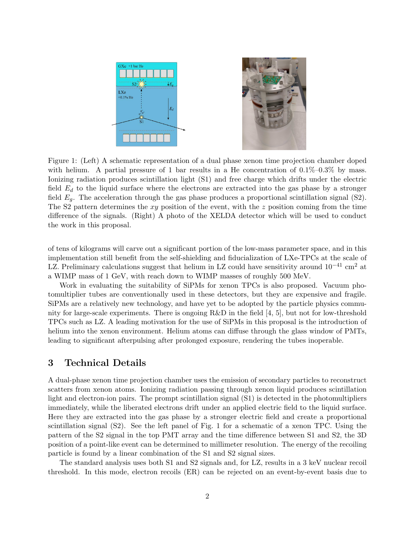<span id="page-1-0"></span>

Figure 1: (Left) A schematic representation of a dual phase xenon time projection chamber doped with helium. A partial pressure of 1 bar results in a He concentration of  $0.1\%$ – $0.3\%$  by mass. Ionizing radiation produces scintillation light (S1) and free charge which drifts under the electric field  $E_d$  to the liquid surface where the electrons are extracted into the gas phase by a stronger field  $E_q$ . The acceleration through the gas phase produces a proportional scintillation signal (S2). The S2 pattern determines the  $xy$  position of the event, with the  $z$  position coming from the time difference of the signals. (Right) A photo of the XELDA detector which will be used to conduct the work in this proposal.

of tens of kilograms will carve out a significant portion of the low-mass parameter space, and in this implementation still benefit from the self-shielding and fiducialization of LXe-TPCs at the scale of LZ. Preliminary calculations suggest that helium in LZ could have sensitivity around  $10^{-41}$  cm<sup>2</sup> at a WIMP mass of 1 GeV, with reach down to WIMP masses of roughly 500 MeV.

Work in evaluating the suitability of SiPMs for xenon TPCs is also proposed. Vacuum photomultiplier tubes are conventionally used in these detectors, but they are expensive and fragile. SiPMs are a relatively new technology, and have yet to be adopted by the particle physics community for large-scale experiments. There is ongoing  $R\&D$  in the field [\[4,](#page-5-2) [5\]](#page-5-3), but not for low-threshold TPCs such as LZ. A leading motivation for the use of SiPMs in this proposal is the introduction of helium into the xenon environment. Helium atoms can diffuse through the glass window of PMTs, leading to significant afterpulsing after prolonged exposure, rendering the tubes inoperable.

### 3 Technical Details

A dual-phase xenon time projection chamber uses the emission of secondary particles to reconstruct scatters from xenon atoms. Ionizing radiation passing through xenon liquid produces scintillation light and electron-ion pairs. The prompt scintillation signal (S1) is detected in the photomultipliers immediately, while the liberated electrons drift under an applied electric field to the liquid surface. Here they are extracted into the gas phase by a stronger electric field and create a proportional scintillation signal (S2). See the left panel of Fig. [1](#page-1-0) for a schematic of a xenon TPC. Using the pattern of the S2 signal in the top PMT array and the time difference between S1 and S2, the 3D position of a point-like event can be determined to millimeter resolution. The energy of the recoiling particle is found by a linear combination of the S1 and S2 signal sizes.

The standard analysis uses both S1 and S2 signals and, for LZ, results in a 3 keV nuclear recoil threshold. In this mode, electron recoils (ER) can be rejected on an event-by-event basis due to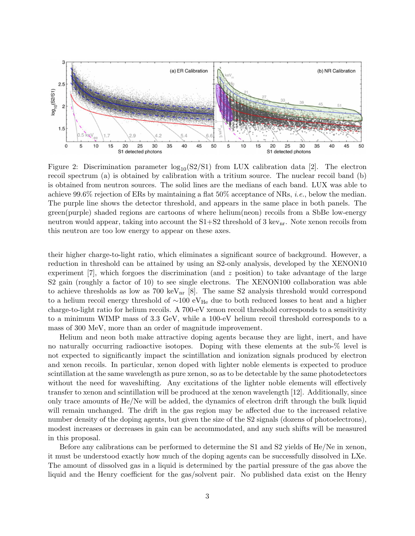<span id="page-2-0"></span>

Figure 2: Discrimination parameter  $log_{10}(S2/S1)$  from LUX calibration data [\[2\]](#page-5-0). The electron recoil spectrum (a) is obtained by calibration with a tritium source. The nuclear recoil band (b) is obtained from neutron sources. The solid lines are the medians of each band. LUX was able to achieve 99.6% rejection of ERs by maintaining a flat  $50\%$  acceptance of NRs, *i.e.*, below the median. The purple line shows the detector threshold, and appears in the same place in both panels. The green(purple) shaded regions are cartoons of where helium(neon) recoils from a SbBe low-energy neutron would appear, taking into account the  $S1+S2$  threshold of 3 kev<sub>nr</sub>. Note xenon recoils from this neutron are too low energy to appear on these axes.

their higher charge-to-light ratio, which eliminates a significant source of background. However, a reduction in threshold can be attained by using an S2-only analysis, developed by the XENON10 experiment [\[7\]](#page-5-4), which forgoes the discrimination (and z position) to take advantage of the large S2 gain (roughly a factor of 10) to see single electrons. The XENON100 collaboration was able to achieve thresholds as low as  $700 \text{ keV}_{\text{nr}}$  [\[8\]](#page-5-5). The same S2 analysis threshold would correspond to a helium recoil energy threshold of  $\sim 100 \text{ eV}_{He}$  due to both reduced losses to heat and a higher charge-to-light ratio for helium recoils. A 700-eV xenon recoil threshold corresponds to a sensitivity to a minimum WIMP mass of 3.3 GeV, while a 100-eV helium recoil threshold corresponds to a mass of 300 MeV, more than an order of magnitude improvement.

Helium and neon both make attractive doping agents because they are light, inert, and have no naturally occurring radioactive isotopes. Doping with these elements at the sub-% level is not expected to significantly impact the scintillation and ionization signals produced by electron and xenon recoils. In particular, xenon doped with lighter noble elements is expected to produce scintillation at the same wavelength as pure xenon, so as to be detectable by the same photodetectors without the need for waveshifting. Any excitations of the lighter noble elements will effectively transfer to xenon and scintillation will be produced at the xenon wavelength [\[12\]](#page-5-6). Additionally, since only trace amounts of He/Ne will be added, the dynamics of electron drift through the bulk liquid will remain unchanged. The drift in the gas region may be affected due to the increased relative number density of the doping agents, but given the size of the S2 signals (dozens of photoelectrons), modest increases or decreases in gain can be accommodated, and any such shifts will be measured in this proposal.

Before any calibrations can be performed to determine the S1 and S2 yields of He/Ne in xenon, it must be understood exactly how much of the doping agents can be successfully dissolved in LXe. The amount of dissolved gas in a liquid is determined by the partial pressure of the gas above the liquid and the Henry coefficient for the gas/solvent pair. No published data exist on the Henry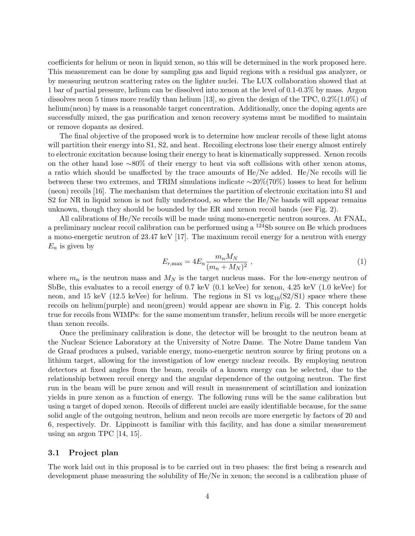coefficients for helium or neon in liquid xenon, so this will be determined in the work proposed here. This measurement can be done by sampling gas and liquid regions with a residual gas analyzer, or by measuring neutron scattering rates on the lighter nuclei. The LUX collaboration showed that at 1 bar of partial pressure, helium can be dissolved into xenon at the level of 0.1-0.3% by mass. Argon dissolves neon 5 times more readily than helium [\[13\]](#page-5-7), so given the design of the TPC,  $0.2\%(1.0\%)$  of helium(neon) by mass is a reasonable target concentration. Additionally, once the doping agents are successfully mixed, the gas purification and xenon recovery systems must be modified to maintain or remove dopants as desired.

The final objective of the proposed work is to determine how nuclear recoils of these light atoms will partition their energy into S1, S2, and heat. Recoiling electrons lose their energy almost entirely to electronic excitation because losing their energy to heat is kinematically suppressed. Xenon recoils on the other hand lose ∼80% of their energy to heat via soft collisions with other xenon atoms, a ratio which should be unaffected by the trace amounts of He/Ne added. He/Ne recoils will lie between these two extremes, and TRIM simulations indicate ∼20%(70%) losses to heat for helium (neon) recoils [\[16\]](#page-5-8). The mechanism that determines the partition of electronic excitation into S1 and S2 for NR in liquid xenon is not fully understood, so where the He/Ne bands will appear remains unknown, though they should be bounded by the ER and xenon recoil bands (see Fig. [2\)](#page-2-0).

All calibrations of He/Ne recoils will be made using mono-energetic neutron sources. At FNAL, a preliminary nuclear recoil calibration can be performed using a  $124Sb$  source on Be which produces a mono-energetic neutron of 23.47 keV [\[17\]](#page-6-0). The maximum recoil energy for a neutron with energy  $E_n$  is given by

$$
E_{r,\max} = 4E_n \frac{m_n M_N}{(m_n + M_N)^2} \,, \tag{1}
$$

where  $m_n$  is the neutron mass and  $M_N$  is the target nucleus mass. For the low-energy neutron of SbBe, this evaluates to a recoil energy of 0.7 keV (0.1 keVee) for xenon, 4.25 keV (1.0 keVee) for neon, and 15 keV (12.5 keVee) for helium. The regions in S1 vs  $log_{10}(S2/S1)$  space where these recoils on helium(purple) and neon(green) would appear are shown in Fig. [2.](#page-2-0) This concept holds true for recoils from WIMPs: for the same momentum transfer, helium recoils will be more energetic than xenon recoils.

Once the preliminary calibration is done, the detector will be brought to the neutron beam at the Nuclear Science Laboratory at the University of Notre Dame. The Notre Dame tandem Van de Graaf produces a pulsed, variable energy, mono-energetic neutron source by firing protons on a lithium target, allowing for the investigation of low energy nuclear recoils. By employing neutron detectors at fixed angles from the beam, recoils of a known energy can be selected, due to the relationship between recoil energy and the angular dependence of the outgoing neutron. The first run in the beam will be pure xenon and will result in measurement of scintillation and ionization yields in pure xenon as a function of energy. The following runs will be the same calibration but using a target of doped xenon. Recoils of different nuclei are easily identifiable because, for the same solid angle of the outgoing neutron, helium and neon recoils are more energetic by factors of 20 and 6, respectively. Dr. Lippincott is familiar with this facility, and has done a similar measurement using an argon TPC [\[14,](#page-5-9) [15\]](#page-5-10).

#### 3.1 Project plan

The work laid out in this proposal is to be carried out in two phases: the first being a research and development phase measuring the solubility of He/Ne in xenon; the second is a calibration phase of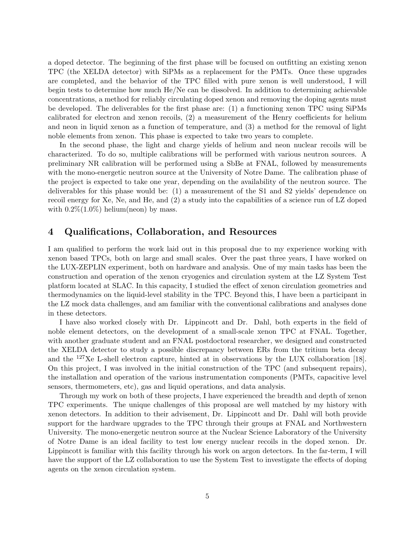a doped detector. The beginning of the first phase will be focused on outfitting an existing xenon TPC (the XELDA detector) with SiPMs as a replacement for the PMTs. Once these upgrades are completed, and the behavior of the TPC filled with pure xenon is well understood, I will begin tests to determine how much He/Ne can be dissolved. In addition to determining achievable concentrations, a method for reliably circulating doped xenon and removing the doping agents must be developed. The deliverables for the first phase are: (1) a functioning xenon TPC using SiPMs calibrated for electron and xenon recoils, (2) a measurement of the Henry coefficients for helium and neon in liquid xenon as a function of temperature, and (3) a method for the removal of light noble elements from xenon. This phase is expected to take two years to complete.

In the second phase, the light and charge yields of helium and neon nuclear recoils will be characterized. To do so, multiple calibrations will be performed with various neutron sources. A preliminary NR calibration will be performed using a SbBe at FNAL, followed by measurements with the mono-energetic neutron source at the University of Notre Dame. The calibration phase of the project is expected to take one year, depending on the availability of the neutron source. The deliverables for this phase would be: (1) a measurement of the S1 and S2 yields' dependence on recoil energy for Xe, Ne, and He, and (2) a study into the capabilities of a science run of LZ doped with  $0.2\%(1.0\%)$  helium(neon) by mass.

### 4 Qualifications, Collaboration, and Resources

I am qualified to perform the work laid out in this proposal due to my experience working with xenon based TPCs, both on large and small scales. Over the past three years, I have worked on the LUX-ZEPLIN experiment, both on hardware and analysis. One of my main tasks has been the construction and operation of the xenon cryogenics and circulation system at the LZ System Test platform located at SLAC. In this capacity, I studied the effect of xenon circulation geometries and thermodynamics on the liquid-level stability in the TPC. Beyond this, I have been a participant in the LZ mock data challenges, and am familiar with the conventional calibrations and analyses done in these detectors.

I have also worked closely with Dr. Lippincott and Dr. Dahl, both experts in the field of noble element detectors, on the development of a small-scale xenon TPC at FNAL. Together, with another graduate student and an FNAL postdoctoral researcher, we designed and constructed the XELDA detector to study a possible discrepancy between ERs from the tritium beta decay and the <sup>127</sup>Xe L-shell electron capture, hinted at in observations by the LUX collaboration [\[18\]](#page-6-1). On this project, I was involved in the initial construction of the TPC (and subsequent repairs), the installation and operation of the various instrumentation components (PMTs, capacitive level sensors, thermometers, etc), gas and liquid operations, and data analysis.

Through my work on both of these projects, I have experienced the breadth and depth of xenon TPC experiments. The unique challenges of this proposal are well matched by my history with xenon detectors. In addition to their advisement, Dr. Lippincott and Dr. Dahl will both provide support for the hardware upgrades to the TPC through their groups at FNAL and Northwestern University. The mono-energetic neutron source at the Nuclear Science Laboratory of the University of Notre Dame is an ideal facility to test low energy nuclear recoils in the doped xenon. Dr. Lippincott is familiar with this facility through his work on argon detectors. In the far-term, I will have the support of the LZ collaboration to use the System Test to investigate the effects of doping agents on the xenon circulation system.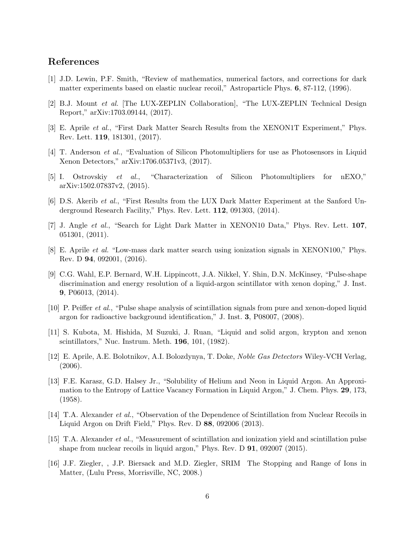#### References

- [1] J.D. Lewin, P.F. Smith, "Review of mathematics, numerical factors, and corrections for dark matter experiments based on elastic nuclear recoil," Astroparticle Phys. 6, 87-112, (1996).
- <span id="page-5-0"></span>[2] B.J. Mount et al. [The LUX-ZEPLIN Collaboration], "The LUX-ZEPLIN Technical Design Report," arXiv:1703.09144, (2017).
- <span id="page-5-1"></span>[3] E. Aprile et al., "First Dark Matter Search Results from the XENON1T Experiment," Phys. Rev. Lett. 119, 181301, (2017).
- <span id="page-5-2"></span>[4] T. Anderson et al., "Evaluation of Silicon Photomultipliers for use as Photosensors in Liquid Xenon Detectors," arXiv:1706.05371v3, (2017).
- <span id="page-5-3"></span>[5] I. Ostrovskiy et al., "Characterization of Silicon Photomultipliers for nEXO," arXiv:1502.07837v2, (2015).
- [6] D.S. Akerib et al., "First Results from the LUX Dark Matter Experiment at the Sanford Underground Research Facility," Phys. Rev. Lett. 112, 091303, (2014).
- <span id="page-5-4"></span>[7] J. Angle et al., "Search for Light Dark Matter in XENON10 Data," Phys. Rev. Lett. 107, 051301, (2011).
- <span id="page-5-5"></span>[8] E. Aprile et al. "Low-mass dark matter search using ionization signals in XENON100," Phys. Rev. D 94, 092001, (2016).
- [9] C.G. Wahl, E.P. Bernard, W.H. Lippincott, J.A. Nikkel, Y. Shin, D.N. McKinsey, "Pulse-shape discrimination and energy resolution of a liquid-argon scintillator with xenon doping," J. Inst. 9, P06013, (2014).
- [10] P. Peiffer et al., "Pulse shape analysis of scintillation signals from pure and xenon-doped liquid argon for radioactive background identification," J. Inst. 3, P08007, (2008).
- [11] S. Kubota, M. Hishida, M Suzuki, J. Ruan, "Liquid and solid argon, krypton and xenon scintillators," Nuc. Instrum. Meth. 196, 101, (1982).
- <span id="page-5-6"></span>[12] E. Aprile, A.E. Bolotnikov, A.I. Bolozdynya, T. Doke, Noble Gas Detectors Wiley-VCH Verlag, (2006).
- <span id="page-5-7"></span>[13] F.E. Karasz, G.D. Halsey Jr., "Solubility of Helium and Neon in Liquid Argon. An Approximation to the Entropy of Lattice Vacancy Formation in Liquid Argon," J. Chem. Phys. 29, 173, (1958).
- <span id="page-5-9"></span>[14] T.A. Alexander et al., "Observation of the Dependence of Scintillation from Nuclear Recoils in Liquid Argon on Drift Field," Phys. Rev. D 88, 092006 (2013).
- <span id="page-5-10"></span>[15] T.A. Alexander et al., "Measurement of scintillation and ionization yield and scintillation pulse shape from nuclear recoils in liquid argon," Phys. Rev. D  $91$ , 092007 (2015).
- <span id="page-5-8"></span>[16] J.F. Ziegler, , J.P. Biersack and M.D. Ziegler, SRIM The Stopping and Range of Ions in Matter, (Lulu Press, Morrisville, NC, 2008.)